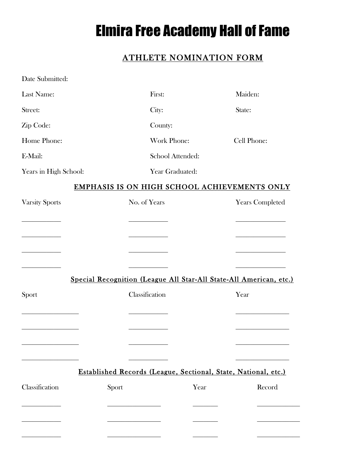## Elmira Free Academy Hall of Fame

## ATHLETE NOMINATION FORM

| Date Submitted:                              |                  |                                                                    |  |  |
|----------------------------------------------|------------------|--------------------------------------------------------------------|--|--|
| Last Name:                                   | First:           | Maiden:                                                            |  |  |
| Street:                                      | City:            | State:                                                             |  |  |
| Zip Code:                                    | County:          |                                                                    |  |  |
| Home Phone:                                  | Work Phone:      | Cell Phone:                                                        |  |  |
| E-Mail:                                      | School Attended: |                                                                    |  |  |
| Years in High School:                        | Year Graduated:  |                                                                    |  |  |
| EMPHASIS IS ON HIGH SCHOOL ACHIEVEMENTS ONLY |                  |                                                                    |  |  |
| <b>Varsity Sports</b>                        | No. of Years     | <b>Years Completed</b>                                             |  |  |
|                                              |                  |                                                                    |  |  |
|                                              |                  |                                                                    |  |  |
|                                              |                  |                                                                    |  |  |
|                                              |                  |                                                                    |  |  |
|                                              |                  | Special Recognition (League All Star-All State-All American, etc.) |  |  |
| Sport                                        | Classification   | Year                                                               |  |  |
|                                              |                  |                                                                    |  |  |
|                                              |                  |                                                                    |  |  |
|                                              |                  |                                                                    |  |  |
|                                              |                  |                                                                    |  |  |
|                                              |                  | Established Records (League, Sectional, State, National, etc.)     |  |  |
| Classification<br>Sport                      | Year             | Record                                                             |  |  |
|                                              |                  |                                                                    |  |  |
|                                              |                  |                                                                    |  |  |
|                                              |                  |                                                                    |  |  |